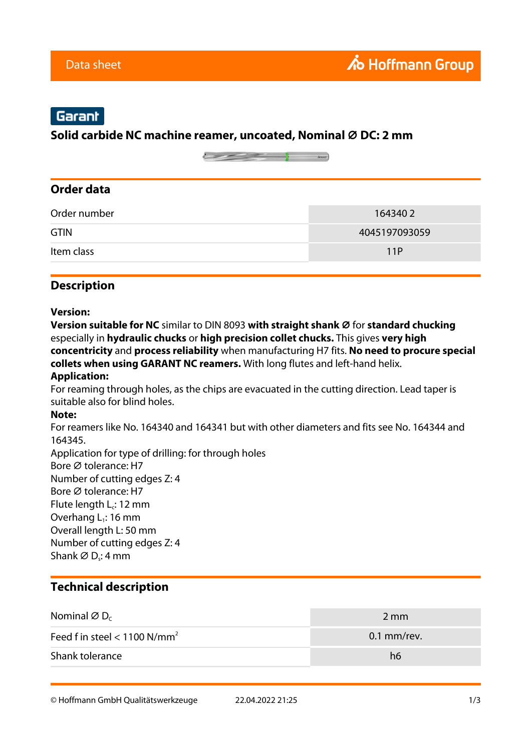# Garant

### **Solid carbide NC machine reamer, uncoated, Nominal ⌀ DC: 2 mm**

### **Order data**

| <b>GTIN</b> | 4045197093059 |
|-------------|---------------|
| Item class  | 11P           |

### **Description**

#### **Version:**

**Version suitable for NC** similar to DIN 8093 with straight shank Ø for standard chucking especially in **hydraulic chucks** or **high precision collet chucks.** This gives **very high concentricity** and **process reliability** when manufacturing H7 fits. **No need to procure special collets when using GARANT NC reamers.** With long flutes and left-hand helix.

#### **Application:**

For reaming through holes, as the chips are evacuated in the cutting direction. Lead taper is suitable also for blind holes.

#### **Note:**

For reamers like No. 164340 and 164341 but with other diameters and fits see No. 164344 and 164345.

Application for type of drilling: for through holes Bore ⌀ tolerance: H7 Number of cutting edges Z: 4 Bore Ø tolerance: H7 Flute length  $L_c$ : 12 mm Overhang  $L_1$ : 16 mm Overall length L: 50 mm Number of cutting edges Z: 4 Shank ∅ D<sub>s</sub>: 4 mm

### **Technical description**

| Nominal $\varnothing$ D <sub>c</sub> | 2 mm          |
|--------------------------------------|---------------|
| Feed f in steel < 1100 $N/mm^2$      | $0.1$ mm/rev. |
| Shank tolerance                      | h6            |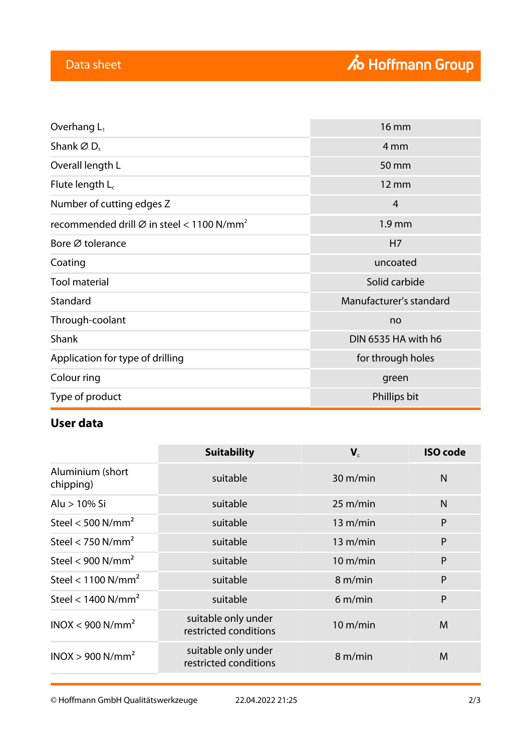| Overhang $L_1$                                                                         | <b>16 mm</b>            |
|----------------------------------------------------------------------------------------|-------------------------|
| Shank $\varnothing$ D.                                                                 | 4 mm                    |
| Overall length L                                                                       | 50 mm                   |
| Flute length $L_c$                                                                     | 12 mm                   |
| Number of cutting edges Z                                                              | 4                       |
| recommended drill $\varnothing$ in steel < 1100 N/mm <sup>2</sup><br>1.9 <sub>mm</sub> |                         |
| Bore Ø tolerance                                                                       | H7                      |
| Coating                                                                                | uncoated                |
| <b>Tool material</b>                                                                   | Solid carbide           |
| Standard                                                                               | Manufacturer's standard |
| Through-coolant                                                                        | no                      |
| Shank                                                                                  | DIN 6535 HA with h6     |
| Application for type of drilling                                                       | for through holes       |
| Colour ring                                                                            | green                   |
| Type of product                                                                        | Phillips bit            |

## **User data**

|                                  | <b>Suitability</b>                           | $V_c$              | <b>ISO</b> code |
|----------------------------------|----------------------------------------------|--------------------|-----------------|
| Aluminium (short<br>chipping)    | suitable                                     | $30 \text{ m/min}$ | N               |
| Alu > 10% Si                     | suitable                                     | $25 \text{ m/min}$ | N               |
| Steel < $500$ N/mm <sup>2</sup>  | suitable                                     | 13 m/min           | P               |
| Steel < 750 $N/mm^2$             | suitable                                     | 13 m/min           | P               |
| Steel < 900 $N/mm^2$             | suitable                                     | $10 \text{ m/min}$ | P               |
| Steel < $1100$ N/mm <sup>2</sup> | suitable                                     | 8 m/min            | P               |
| Steel < $1400$ N/mm <sup>2</sup> | suitable                                     | 6 m/min            | P               |
| INOX < 900 N/mm <sup>2</sup>     | suitable only under<br>restricted conditions | $10 \text{ m/min}$ | M               |
| INOX > 900 N/mm <sup>2</sup>     | suitable only under<br>restricted conditions | 8 m/min            | M               |